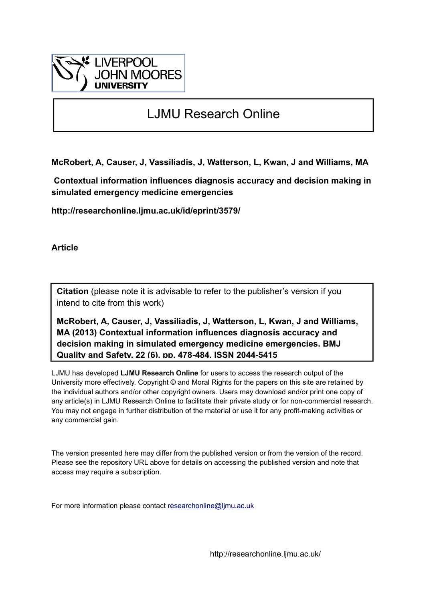

# LJMU Research Online

**McRobert, A, Causer, J, Vassiliadis, J, Watterson, L, Kwan, J and Williams, MA**

 **Contextual information influences diagnosis accuracy and decision making in simulated emergency medicine emergencies**

**http://researchonline.ljmu.ac.uk/id/eprint/3579/**

**Article**

**Citation** (please note it is advisable to refer to the publisher's version if you intend to cite from this work)

**McRobert, A, Causer, J, Vassiliadis, J, Watterson, L, Kwan, J and Williams, MA (2013) Contextual information influences diagnosis accuracy and decision making in simulated emergency medicine emergencies. BMJ Quality and Safety, 22 (6). pp. 478-484. ISSN 2044-5415** 

LJMU has developed **[LJMU Research Online](http://researchonline.ljmu.ac.uk/)** for users to access the research output of the University more effectively. Copyright © and Moral Rights for the papers on this site are retained by the individual authors and/or other copyright owners. Users may download and/or print one copy of any article(s) in LJMU Research Online to facilitate their private study or for non-commercial research. You may not engage in further distribution of the material or use it for any profit-making activities or any commercial gain.

The version presented here may differ from the published version or from the version of the record. Please see the repository URL above for details on accessing the published version and note that access may require a subscription.

For more information please contact [researchonline@ljmu.ac.uk](mailto:researchonline@ljmu.ac.uk)

http://researchonline.ljmu.ac.uk/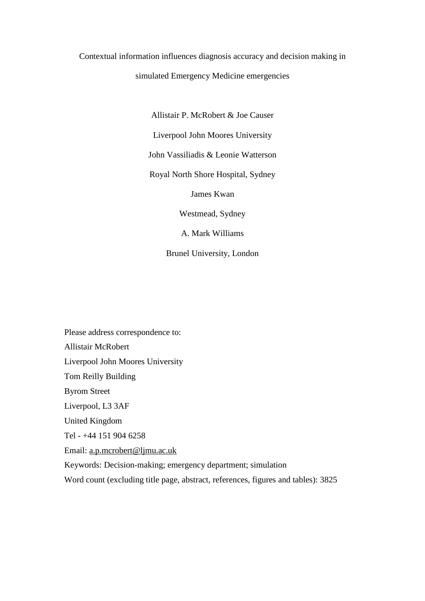## Contextual information influences diagnosis accuracy and decision making in

## simulated Emergency Medicine emergencies

Allistair P. McRobert & Joe Causer

Liverpool John Moores University

John Vassiliadis & Leonie Watterson

Royal North Shore Hospital, Sydney

James Kwan

Westmead, Sydney

A. Mark Williams

Brunel University, London

Please address correspondence to: Allistair McRobert Liverpool John Moores University Tom Reilly Building Byrom Street Liverpool, L3 3AF United Kingdom Tel - +44 151 904 6258 Email: [a.p.mcrobert@ljmu.ac.uk](mailto:a.p.mcrobert@ljmu.ac.uk) Keywords: Decision-making; emergency department; simulation Word count (excluding title page, abstract, references, figures and tables): 3825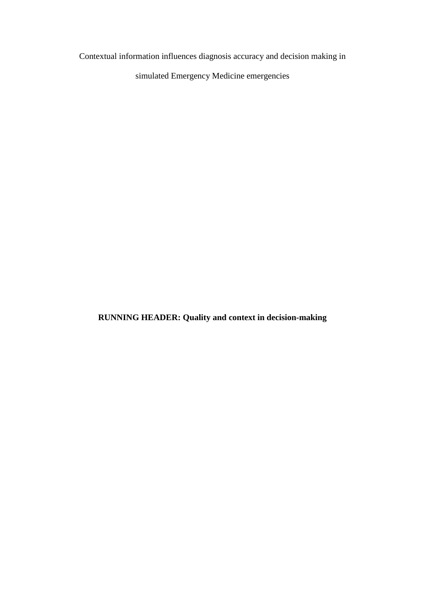Contextual information influences diagnosis accuracy and decision making in

simulated Emergency Medicine emergencies

**RUNNING HEADER: Quality and context in decision-making**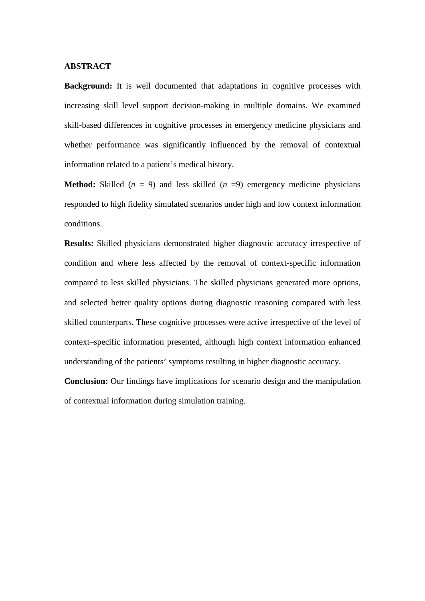### **ABSTRACT**

**Background:** It is well documented that adaptations in cognitive processes with increasing skill level support decision-making in multiple domains. We examined skill-based differences in cognitive processes in emergency medicine physicians and whether performance was significantly influenced by the removal of contextual information related to a patient's medical history.

**Method:** Skilled  $(n = 9)$  and less skilled  $(n = 9)$  emergency medicine physicians responded to high fidelity simulated scenarios under high and low context information conditions.

**Results:** Skilled physicians demonstrated higher diagnostic accuracy irrespective of condition and where less affected by the removal of context-specific information compared to less skilled physicians. The skilled physicians generated more options, and selected better quality options during diagnostic reasoning compared with less skilled counterparts. These cognitive processes were active irrespective of the level of context–specific information presented, although high context information enhanced understanding of the patients' symptoms resulting in higher diagnostic accuracy.

**Conclusion:** Our findings have implications for scenario design and the manipulation of contextual information during simulation training.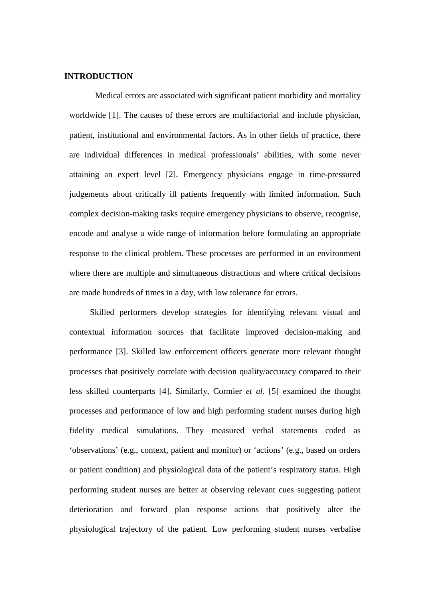### **INTRODUCTION**

Medical errors are associated with significant patient morbidity and mortality worldwide [1]. The causes of these errors are multifactorial and include physician, patient, institutional and environmental factors. As in other fields of practice, there are individual differences in medical professionals' abilities, with some never attaining an expert level [2]. Emergency physicians engage in time-pressured judgements about critically ill patients frequently with limited information. Such complex decision-making tasks require emergency physicians to observe, recognise, encode and analyse a wide range of information before formulating an appropriate response to the clinical problem. These processes are performed in an environment where there are multiple and simultaneous distractions and where critical decisions are made hundreds of times in a day, with low tolerance for errors.

Skilled performers develop strategies for identifying relevant visual and contextual information sources that facilitate improved decision-making and performance [3]. Skilled law enforcement officers generate more relevant thought processes that positively correlate with decision quality/accuracy compared to their less skilled counterparts [4]. Similarly, Cormier *et al*. [5] examined the thought processes and performance of low and high performing student nurses during high fidelity medical simulations. They measured verbal statements coded as 'observations' (e.g., context, patient and monitor) or 'actions' (e.g., based on orders or patient condition) and physiological data of the patient's respiratory status. High performing student nurses are better at observing relevant cues suggesting patient deterioration and forward plan response actions that positively alter the physiological trajectory of the patient. Low performing student nurses verbalise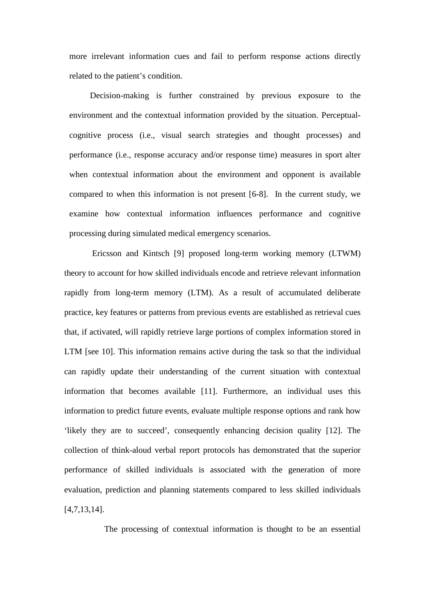more irrelevant information cues and fail to perform response actions directly related to the patient's condition.

Decision-making is further constrained by previous exposure to the environment and the contextual information provided by the situation. Perceptualcognitive process (i.e., visual search strategies and thought processes) and performance (i.e., response accuracy and/or response time) measures in sport alter when contextual information about the environment and opponent is available compared to when this information is not present [6-8]. In the current study, we examine how contextual information influences performance and cognitive processing during simulated medical emergency scenarios.

Ericsson and Kintsch [9] proposed long-term working memory (LTWM) theory to account for how skilled individuals encode and retrieve relevant information rapidly from long-term memory (LTM). As a result of accumulated deliberate practice, key features or patterns from previous events are established as retrieval cues that, if activated, will rapidly retrieve large portions of complex information stored in LTM [see 10]. This information remains active during the task so that the individual can rapidly update their understanding of the current situation with contextual information that becomes available [11]. Furthermore, an individual uses this information to predict future events, evaluate multiple response options and rank how 'likely they are to succeed', consequently enhancing decision quality [12]. The collection of think-aloud verbal report protocols has demonstrated that the superior performance of skilled individuals is associated with the generation of more evaluation, prediction and planning statements compared to less skilled individuals [4,7,13,14].

The processing of contextual information is thought to be an essential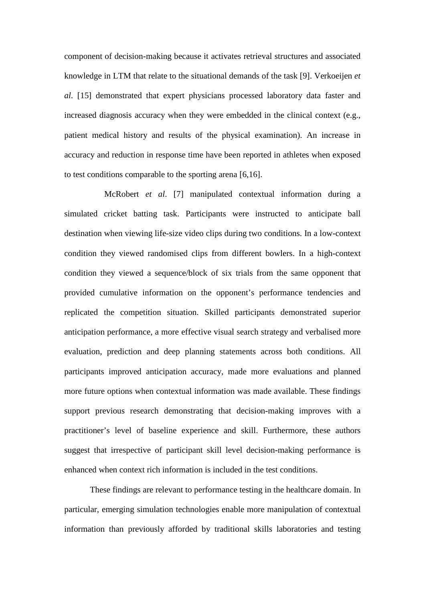component of decision-making because it activates retrieval structures and associated knowledge in LTM that relate to the situational demands of the task [9]. Verkoeijen *et al*. [15] demonstrated that expert physicians processed laboratory data faster and increased diagnosis accuracy when they were embedded in the clinical context (e.g., patient medical history and results of the physical examination). An increase in accuracy and reduction in response time have been reported in athletes when exposed to test conditions comparable to the sporting arena [6,16].

McRobert *et al*. [7] manipulated contextual information during a simulated cricket batting task. Participants were instructed to anticipate ball destination when viewing life-size video clips during two conditions. In a low-context condition they viewed randomised clips from different bowlers. In a high-context condition they viewed a sequence/block of six trials from the same opponent that provided cumulative information on the opponent's performance tendencies and replicated the competition situation. Skilled participants demonstrated superior anticipation performance, a more effective visual search strategy and verbalised more evaluation, prediction and deep planning statements across both conditions. All participants improved anticipation accuracy, made more evaluations and planned more future options when contextual information was made available. These findings support previous research demonstrating that decision-making improves with a practitioner's level of baseline experience and skill. Furthermore, these authors suggest that irrespective of participant skill level decision-making performance is enhanced when context rich information is included in the test conditions.

These findings are relevant to performance testing in the healthcare domain. In particular, emerging simulation technologies enable more manipulation of contextual information than previously afforded by traditional skills laboratories and testing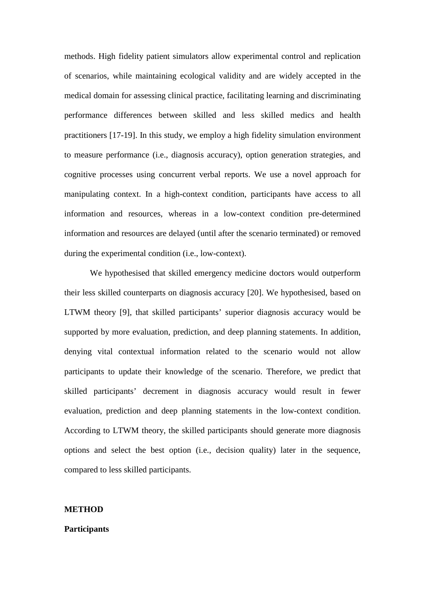methods. High fidelity patient simulators allow experimental control and replication of scenarios, while maintaining ecological validity and are widely accepted in the medical domain for assessing clinical practice, facilitating learning and discriminating performance differences between skilled and less skilled medics and health practitioners [17-19]. In this study, we employ a high fidelity simulation environment to measure performance (i.e., diagnosis accuracy), option generation strategies, and cognitive processes using concurrent verbal reports. We use a novel approach for manipulating context. In a high-context condition, participants have access to all information and resources, whereas in a low-context condition pre-determined information and resources are delayed (until after the scenario terminated) or removed during the experimental condition (i.e., low-context).

We hypothesised that skilled emergency medicine doctors would outperform their less skilled counterparts on diagnosis accuracy [20]. We hypothesised, based on LTWM theory [9], that skilled participants' superior diagnosis accuracy would be supported by more evaluation, prediction, and deep planning statements. In addition, denying vital contextual information related to the scenario would not allow participants to update their knowledge of the scenario. Therefore, we predict that skilled participants' decrement in diagnosis accuracy would result in fewer evaluation, prediction and deep planning statements in the low-context condition. According to LTWM theory, the skilled participants should generate more diagnosis options and select the best option (i.e., decision quality) later in the sequence, compared to less skilled participants.

#### **METHOD**

### **Participants**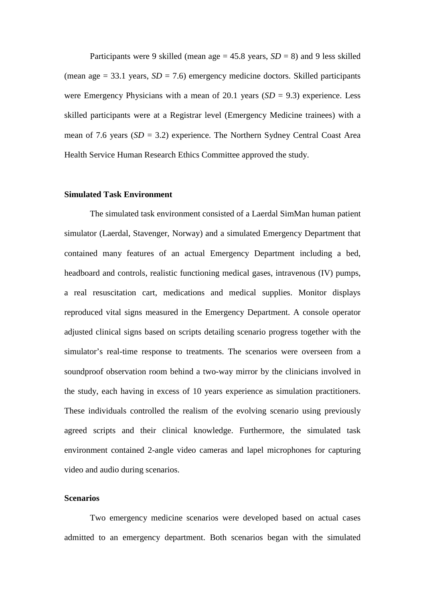Participants were 9 skilled (mean age  $= 45.8$  years,  $SD = 8$ ) and 9 less skilled (mean age  $= 33.1$  years,  $SD = 7.6$ ) emergency medicine doctors. Skilled participants were Emergency Physicians with a mean of 20.1 years (*SD* = 9.3) experience. Less skilled participants were at a Registrar level (Emergency Medicine trainees) with a mean of 7.6 years (*SD* = 3.2) experience. The Northern Sydney Central Coast Area Health Service Human Research Ethics Committee approved the study.

#### **Simulated Task Environment**

The simulated task environment consisted of a Laerdal SimMan human patient simulator (Laerdal, Stavenger, Norway) and a simulated Emergency Department that contained many features of an actual Emergency Department including a bed, headboard and controls, realistic functioning medical gases, intravenous (IV) pumps, a real resuscitation cart, medications and medical supplies. Monitor displays reproduced vital signs measured in the Emergency Department. A console operator adjusted clinical signs based on scripts detailing scenario progress together with the simulator's real-time response to treatments. The scenarios were overseen from a soundproof observation room behind a two-way mirror by the clinicians involved in the study, each having in excess of 10 years experience as simulation practitioners. These individuals controlled the realism of the evolving scenario using previously agreed scripts and their clinical knowledge. Furthermore, the simulated task environment contained 2-angle video cameras and lapel microphones for capturing video and audio during scenarios.

## **Scenarios**

Two emergency medicine scenarios were developed based on actual cases admitted to an emergency department. Both scenarios began with the simulated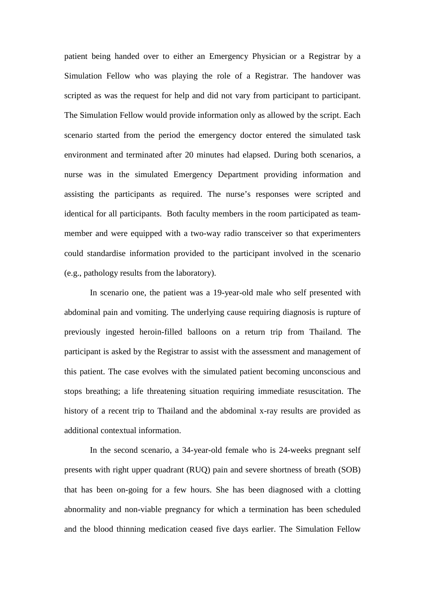patient being handed over to either an Emergency Physician or a Registrar by a Simulation Fellow who was playing the role of a Registrar. The handover was scripted as was the request for help and did not vary from participant to participant. The Simulation Fellow would provide information only as allowed by the script. Each scenario started from the period the emergency doctor entered the simulated task environment and terminated after 20 minutes had elapsed. During both scenarios, a nurse was in the simulated Emergency Department providing information and assisting the participants as required. The nurse's responses were scripted and identical for all participants. Both faculty members in the room participated as teammember and were equipped with a two-way radio transceiver so that experimenters could standardise information provided to the participant involved in the scenario (e.g., pathology results from the laboratory).

In scenario one, the patient was a 19-year-old male who self presented with abdominal pain and vomiting. The underlying cause requiring diagnosis is rupture of previously ingested heroin-filled balloons on a return trip from Thailand. The participant is asked by the Registrar to assist with the assessment and management of this patient. The case evolves with the simulated patient becoming unconscious and stops breathing; a life threatening situation requiring immediate resuscitation. The history of a recent trip to Thailand and the abdominal x-ray results are provided as additional contextual information.

In the second scenario, a 34-year-old female who is 24-weeks pregnant self presents with right upper quadrant (RUQ) pain and severe shortness of breath (SOB) that has been on-going for a few hours. She has been diagnosed with a clotting abnormality and non-viable pregnancy for which a termination has been scheduled and the blood thinning medication ceased five days earlier. The Simulation Fellow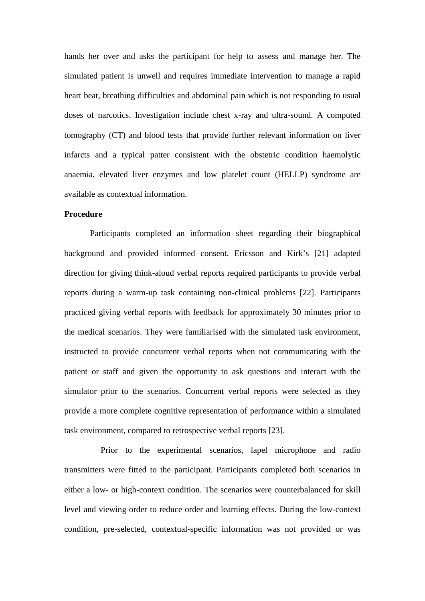hands her over and asks the participant for help to assess and manage her. The simulated patient is unwell and requires immediate intervention to manage a rapid heart beat, breathing difficulties and abdominal pain which is not responding to usual doses of narcotics. Investigation include chest x-ray and ultra-sound. A computed tomography (CT) and blood tests that provide further relevant information on liver infarcts and a typical patter consistent with the obstetric condition haemolytic anaemia, elevated liver enzymes and low platelet count (HELLP) syndrome are available as contextual information.

#### **Procedure**

Participants completed an information sheet regarding their biographical background and provided informed consent. Ericsson and Kirk's [21] adapted direction for giving think-aloud verbal reports required participants to provide verbal reports during a warm-up task containing non-clinical problems [22]. Participants practiced giving verbal reports with feedback for approximately 30 minutes prior to the medical scenarios. They were familiarised with the simulated task environment, instructed to provide concurrent verbal reports when not communicating with the patient or staff and given the opportunity to ask questions and interact with the simulator prior to the scenarios. Concurrent verbal reports were selected as they provide a more complete cognitive representation of performance within a simulated task environment, compared to retrospective verbal reports [23].

Prior to the experimental scenarios, lapel microphone and radio transmitters were fitted to the participant. Participants completed both scenarios in either a low- or high-context condition. The scenarios were counterbalanced for skill level and viewing order to reduce order and learning effects. During the low-context condition, pre-selected, contextual-specific information was not provided or was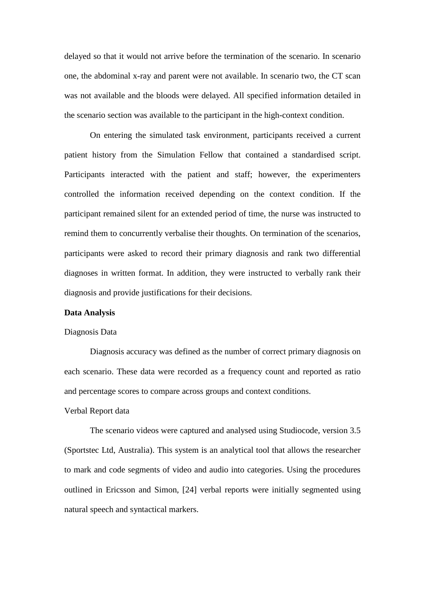delayed so that it would not arrive before the termination of the scenario. In scenario one, the abdominal x-ray and parent were not available. In scenario two, the CT scan was not available and the bloods were delayed. All specified information detailed in the scenario section was available to the participant in the high-context condition.

On entering the simulated task environment, participants received a current patient history from the Simulation Fellow that contained a standardised script. Participants interacted with the patient and staff; however, the experimenters controlled the information received depending on the context condition. If the participant remained silent for an extended period of time, the nurse was instructed to remind them to concurrently verbalise their thoughts. On termination of the scenarios, participants were asked to record their primary diagnosis and rank two differential diagnoses in written format. In addition, they were instructed to verbally rank their diagnosis and provide justifications for their decisions.

#### **Data Analysis**

#### Diagnosis Data

Diagnosis accuracy was defined as the number of correct primary diagnosis on each scenario. These data were recorded as a frequency count and reported as ratio and percentage scores to compare across groups and context conditions.

#### Verbal Report data

The scenario videos were captured and analysed using Studiocode, version 3.5 (Sportstec Ltd, Australia). This system is an analytical tool that allows the researcher to mark and code segments of video and audio into categories. Using the procedures outlined in Ericsson and Simon, [24] verbal reports were initially segmented using natural speech and syntactical markers.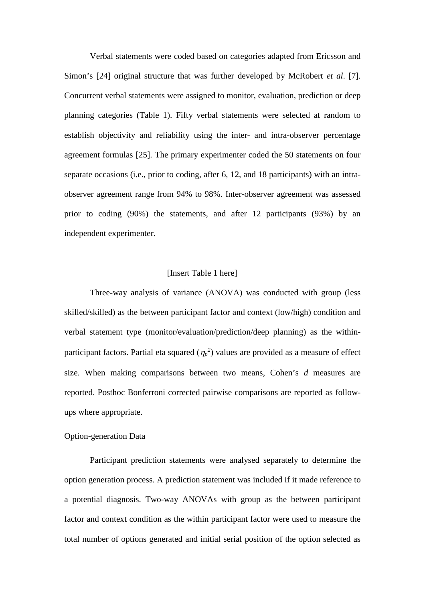Verbal statements were coded based on categories adapted from Ericsson and Simon's [24] original structure that was further developed by McRobert *et al*. [7]. Concurrent verbal statements were assigned to monitor, evaluation, prediction or deep planning categories (Table 1). Fifty verbal statements were selected at random to establish objectivity and reliability using the inter- and intra-observer percentage agreement formulas [25]. The primary experimenter coded the 50 statements on four separate occasions (i.e., prior to coding, after 6, 12, and 18 participants) with an intraobserver agreement range from 94% to 98%. Inter-observer agreement was assessed prior to coding (90%) the statements, and after 12 participants (93%) by an independent experimenter.

#### [Insert Table 1 here]

Three-way analysis of variance (ANOVA) was conducted with group (less skilled/skilled) as the between participant factor and context (low/high) condition and verbal statement type (monitor/evaluation/prediction/deep planning) as the withinparticipant factors. Partial eta squared  $(\eta_p^2)$  values are provided as a measure of effect size. When making comparisons between two means, Cohen's *d* measures are reported. Posthoc Bonferroni corrected pairwise comparisons are reported as followups where appropriate.

#### Option-generation Data

Participant prediction statements were analysed separately to determine the option generation process. A prediction statement was included if it made reference to a potential diagnosis. Two-way ANOVAs with group as the between participant factor and context condition as the within participant factor were used to measure the total number of options generated and initial serial position of the option selected as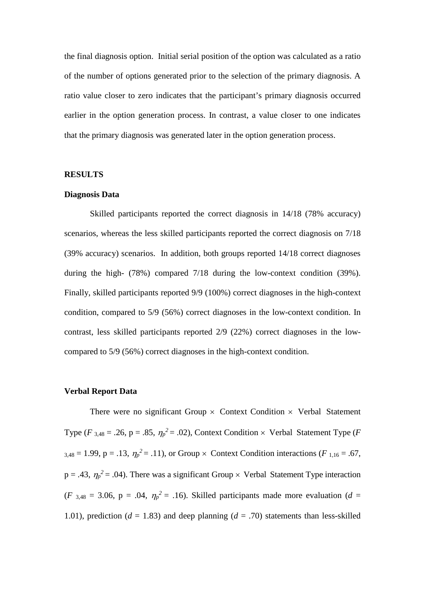the final diagnosis option. Initial serial position of the option was calculated as a ratio of the number of options generated prior to the selection of the primary diagnosis. A ratio value closer to zero indicates that the participant's primary diagnosis occurred earlier in the option generation process. In contrast, a value closer to one indicates that the primary diagnosis was generated later in the option generation process.

#### **RESULTS**

#### **Diagnosis Data**

Skilled participants reported the correct diagnosis in 14/18 (78% accuracy) scenarios, whereas the less skilled participants reported the correct diagnosis on 7/18 (39% accuracy) scenarios. In addition, both groups reported 14/18 correct diagnoses during the high- (78%) compared 7/18 during the low-context condition (39%). Finally, skilled participants reported 9/9 (100%) correct diagnoses in the high-context condition, compared to 5/9 (56%) correct diagnoses in the low-context condition. In contrast, less skilled participants reported 2/9 (22%) correct diagnoses in the lowcompared to 5/9 (56%) correct diagnoses in the high-context condition.

#### **Verbal Report Data**

There were no significant Group  $\times$  Context Condition  $\times$  Verbal Statement Type (*F* <sub>3,48</sub> = .26, p = .85,  $\eta_p^2$  = .02), Context Condition  $\times$  Verbal Statement Type (*F*  $_{3,48} = 1.99$ , p = .13,  $\eta_p^2 = .11$ ), or Group  $\times$  Context Condition interactions (*F*<sub>1,16</sub> = .67,  $p = .43$ ,  $\eta_p^2 = .04$ ). There was a significant Group  $\times$  Verbal Statement Type interaction  $(F_{3,48} = 3.06, p = .04, \eta_p^2 = .16)$ . Skilled participants made more evaluation (*d* = 1.01), prediction ( $d = 1.83$ ) and deep planning ( $d = .70$ ) statements than less-skilled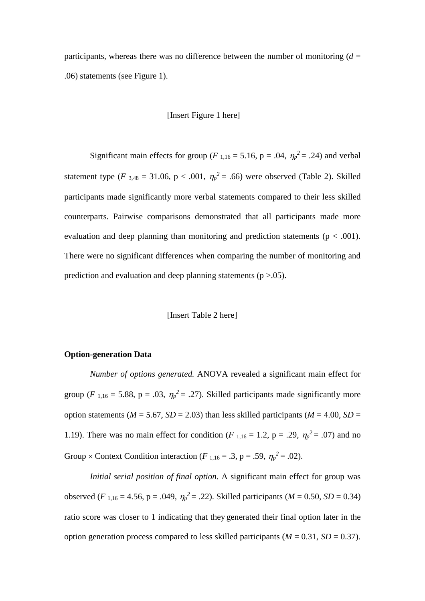participants, whereas there was no difference between the number of monitoring  $(d =$ .06) statements (see Figure 1).

## [Insert Figure 1 here]

Significant main effects for group ( $F_{1,16} = 5.16$ ,  $p = .04$ ,  $\eta_p^2 = .24$ ) and verbal statement type (*F*  $_{3,48}$  = 31.06, p < .001,  $\eta_p^2$  = .66) were observed (Table 2). Skilled participants made significantly more verbal statements compared to their less skilled counterparts. Pairwise comparisons demonstrated that all participants made more evaluation and deep planning than monitoring and prediction statements ( $p < .001$ ). There were no significant differences when comparing the number of monitoring and prediction and evaluation and deep planning statements  $(p > .05)$ .

#### [Insert Table 2 here]

#### **Option-generation Data**

*Number of options generated.* ANOVA revealed a significant main effect for group (*F*<sub>1,16</sub> = 5.88, p = .03,  $\eta_p^2$  = .27). Skilled participants made significantly more option statements ( $M = 5.67$ ,  $SD = 2.03$ ) than less skilled participants ( $M = 4.00$ ,  $SD =$ 1.19). There was no main effect for condition (*F*<sub>1,16</sub> = 1.2, p = .29,  $\eta_p^2$  = .07) and no Group  $\times$  Context Condition interaction (*F*<sub>1,16</sub> = .3, p = .59,  $\eta_p^2$  = .02).

*Initial serial position of final option.* A significant main effect for group was observed (*F*<sub>1,16</sub> = 4.56, p = .049,  $\eta_p^2$  = .22). Skilled participants (*M* = 0.50, *SD* = 0.34) ratio score was closer to 1 indicating that they generated their final option later in the option generation process compared to less skilled participants ( $M = 0.31$ ,  $SD = 0.37$ ).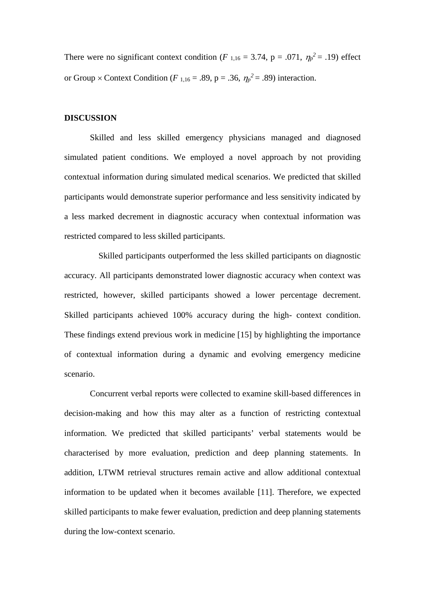There were no significant context condition ( $F$  <sub>1,16</sub> = 3.74, p = .071,  $\eta_p^2$  = .19) effect or Group  $\times$  Context Condition (*F*<sub>1,16</sub> = .89, p = .36,  $\eta_p^2$  = .89) interaction.

#### **DISCUSSION**

Skilled and less skilled emergency physicians managed and diagnosed simulated patient conditions. We employed a novel approach by not providing contextual information during simulated medical scenarios. We predicted that skilled participants would demonstrate superior performance and less sensitivity indicated by a less marked decrement in diagnostic accuracy when contextual information was restricted compared to less skilled participants.

Skilled participants outperformed the less skilled participants on diagnostic accuracy. All participants demonstrated lower diagnostic accuracy when context was restricted, however, skilled participants showed a lower percentage decrement. Skilled participants achieved 100% accuracy during the high- context condition. These findings extend previous work in medicine [15] by highlighting the importance of contextual information during a dynamic and evolving emergency medicine scenario.

Concurrent verbal reports were collected to examine skill-based differences in decision-making and how this may alter as a function of restricting contextual information. We predicted that skilled participants' verbal statements would be characterised by more evaluation, prediction and deep planning statements. In addition, LTWM retrieval structures remain active and allow additional contextual information to be updated when it becomes available [11]. Therefore, we expected skilled participants to make fewer evaluation, prediction and deep planning statements during the low-context scenario.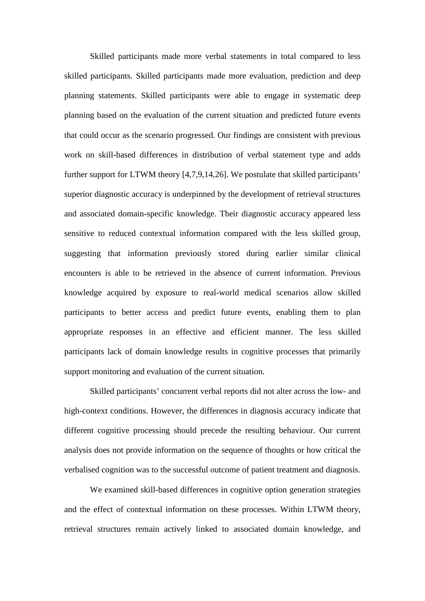Skilled participants made more verbal statements in total compared to less skilled participants. Skilled participants made more evaluation, prediction and deep planning statements. Skilled participants were able to engage in systematic deep planning based on the evaluation of the current situation and predicted future events that could occur as the scenario progressed. Our findings are consistent with previous work on skill-based differences in distribution of verbal statement type and adds further support for LTWM theory [4,7,9,14,26]. We postulate that skilled participants' superior diagnostic accuracy is underpinned by the development of retrieval structures and associated domain-specific knowledge. Their diagnostic accuracy appeared less sensitive to reduced contextual information compared with the less skilled group, suggesting that information previously stored during earlier similar clinical encounters is able to be retrieved in the absence of current information. Previous knowledge acquired by exposure to real-world medical scenarios allow skilled participants to better access and predict future events, enabling them to plan appropriate responses in an effective and efficient manner. The less skilled participants lack of domain knowledge results in cognitive processes that primarily support monitoring and evaluation of the current situation.

Skilled participants' concurrent verbal reports did not alter across the low- and high-context conditions. However, the differences in diagnosis accuracy indicate that different cognitive processing should precede the resulting behaviour. Our current analysis does not provide information on the sequence of thoughts or how critical the verbalised cognition was to the successful outcome of patient treatment and diagnosis.

We examined skill-based differences in cognitive option generation strategies and the effect of contextual information on these processes. Within LTWM theory, retrieval structures remain actively linked to associated domain knowledge, and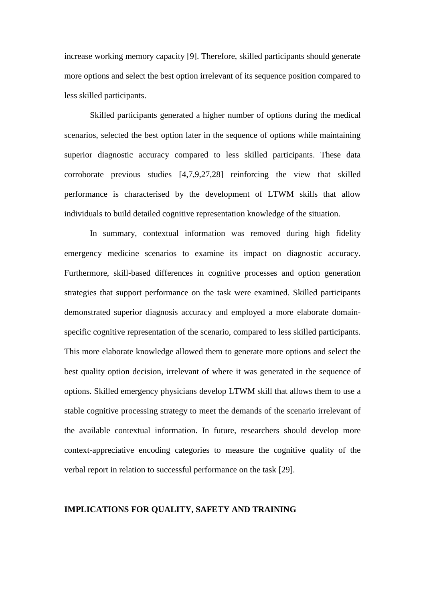increase working memory capacity [9]. Therefore, skilled participants should generate more options and select the best option irrelevant of its sequence position compared to less skilled participants.

Skilled participants generated a higher number of options during the medical scenarios, selected the best option later in the sequence of options while maintaining superior diagnostic accuracy compared to less skilled participants. These data corroborate previous studies [4,7,9,27,28] reinforcing the view that skilled performance is characterised by the development of LTWM skills that allow individuals to build detailed cognitive representation knowledge of the situation.

In summary, contextual information was removed during high fidelity emergency medicine scenarios to examine its impact on diagnostic accuracy. Furthermore, skill-based differences in cognitive processes and option generation strategies that support performance on the task were examined. Skilled participants demonstrated superior diagnosis accuracy and employed a more elaborate domainspecific cognitive representation of the scenario, compared to less skilled participants. This more elaborate knowledge allowed them to generate more options and select the best quality option decision, irrelevant of where it was generated in the sequence of options. Skilled emergency physicians develop LTWM skill that allows them to use a stable cognitive processing strategy to meet the demands of the scenario irrelevant of the available contextual information. In future, researchers should develop more context-appreciative encoding categories to measure the cognitive quality of the verbal report in relation to successful performance on the task [29].

### **IMPLICATIONS FOR QUALITY, SAFETY AND TRAINING**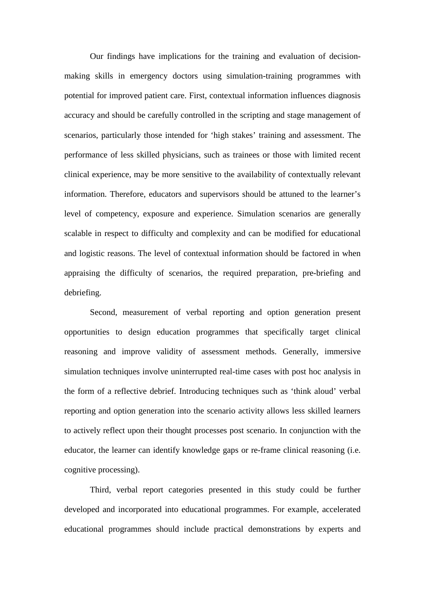Our findings have implications for the training and evaluation of decisionmaking skills in emergency doctors using simulation-training programmes with potential for improved patient care. First, contextual information influences diagnosis accuracy and should be carefully controlled in the scripting and stage management of scenarios, particularly those intended for 'high stakes' training and assessment. The performance of less skilled physicians, such as trainees or those with limited recent clinical experience, may be more sensitive to the availability of contextually relevant information. Therefore, educators and supervisors should be attuned to the learner's level of competency, exposure and experience. Simulation scenarios are generally scalable in respect to difficulty and complexity and can be modified for educational and logistic reasons. The level of contextual information should be factored in when appraising the difficulty of scenarios, the required preparation, pre-briefing and debriefing.

Second, measurement of verbal reporting and option generation present opportunities to design education programmes that specifically target clinical reasoning and improve validity of assessment methods. Generally, immersive simulation techniques involve uninterrupted real-time cases with post hoc analysis in the form of a reflective debrief. Introducing techniques such as 'think aloud' verbal reporting and option generation into the scenario activity allows less skilled learners to actively reflect upon their thought processes post scenario. In conjunction with the educator, the learner can identify knowledge gaps or re-frame clinical reasoning (i.e. cognitive processing).

Third, verbal report categories presented in this study could be further developed and incorporated into educational programmes. For example, accelerated educational programmes should include practical demonstrations by experts and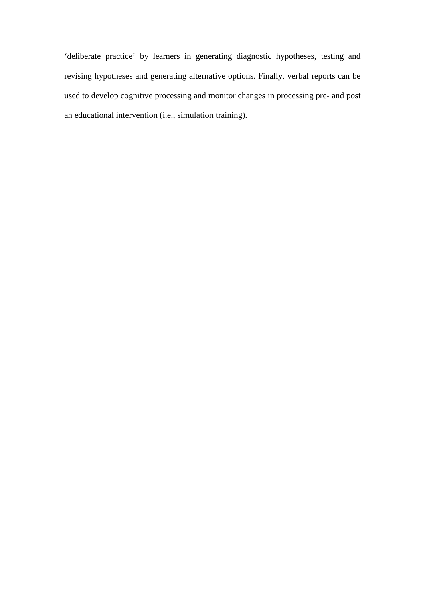'deliberate practice' by learners in generating diagnostic hypotheses, testing and revising hypotheses and generating alternative options. Finally, verbal reports can be used to develop cognitive processing and monitor changes in processing pre- and post an educational intervention (i.e., simulation training).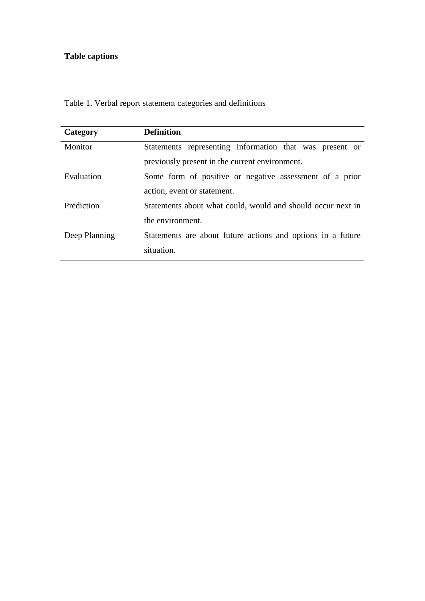## **Table captions**

Table 1. Verbal report statement categories and definitions

| Category      | <b>Definition</b>                                           |  |  |
|---------------|-------------------------------------------------------------|--|--|
| Monitor       | Statements representing information that was present or     |  |  |
|               | previously present in the current environment.              |  |  |
| Evaluation    | Some form of positive or negative assessment of a prior     |  |  |
|               | action, event or statement.                                 |  |  |
| Prediction    | Statements about what could, would and should occur next in |  |  |
|               | the environment.                                            |  |  |
| Deep Planning | Statements are about future actions and options in a future |  |  |
|               | situation.                                                  |  |  |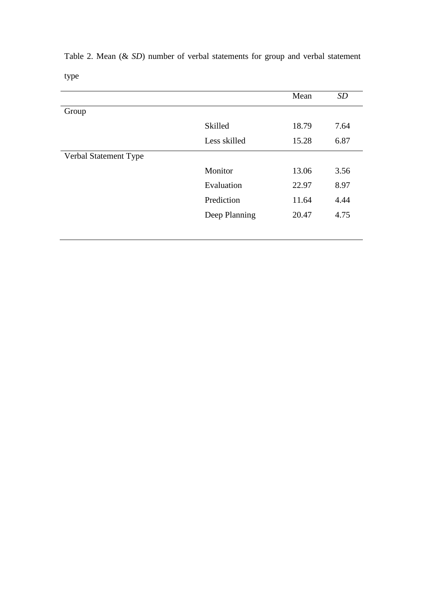|                       |               | Mean  | <b>SD</b> |
|-----------------------|---------------|-------|-----------|
| Group                 |               |       |           |
|                       | Skilled       | 18.79 | 7.64      |
|                       | Less skilled  | 15.28 | 6.87      |
| Verbal Statement Type |               |       |           |
|                       | Monitor       | 13.06 | 3.56      |
|                       | Evaluation    | 22.97 | 8.97      |
|                       | Prediction    | 11.64 | 4.44      |
|                       | Deep Planning | 20.47 | 4.75      |
|                       |               |       |           |

Table 2. Mean (& *SD*) number of verbal statements for group and verbal statement type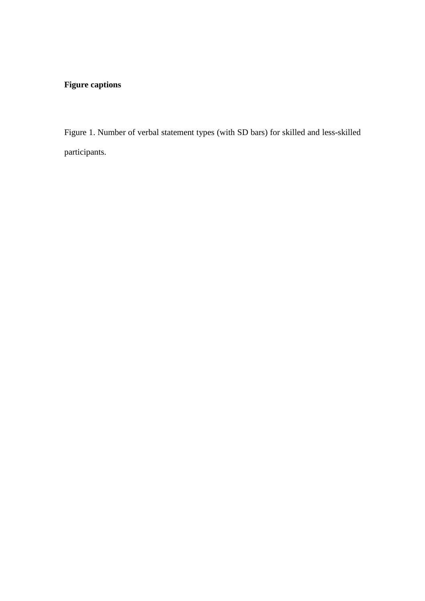## **Figure captions**

Figure 1. Number of verbal statement types (with SD bars) for skilled and less-skilled participants.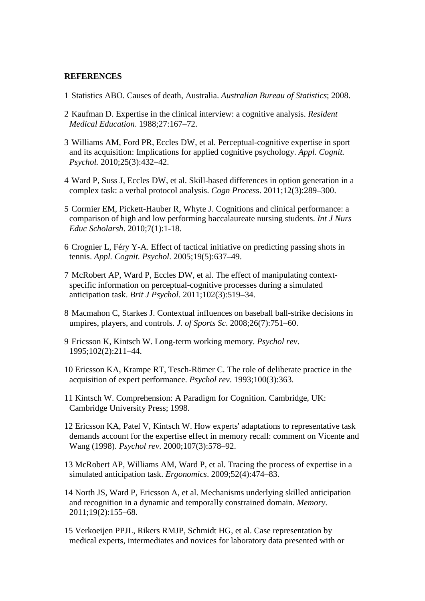#### **REFERENCES**

- 1 Statistics ABO. Causes of death, Australia. *Australian Bureau of Statistics*; 2008.
- 2 Kaufman D. Expertise in the clinical interview: a cognitive analysis. *Resident Medical Education*. 1988;27:167–72.
- 3 Williams AM, Ford PR, Eccles DW, et al. Perceptual-cognitive expertise in sport and its acquisition: Implications for applied cognitive psychology. *Appl. Cognit. Psychol.* 2010;25(3):432–42.
- 4 Ward P, Suss J, Eccles DW, et al. Skill-based differences in option generation in a complex task: a verbal protocol analysis. *Cogn Proces*s. 2011;12(3):289–300.
- 5 Cormier EM, Pickett-Hauber R, Whyte J. Cognitions and clinical performance: a comparison of high and low performing baccalaureate nursing students. *Int J Nurs Educ Scholarsh*. 2010;7(1):1-18.
- 6 Crognier L, Féry Y-A. Effect of tactical initiative on predicting passing shots in tennis. *Appl. Cognit. Psychol*. 2005;19(5):637–49.
- 7 McRobert AP, Ward P, Eccles DW, et al. The effect of manipulating contextspecific information on perceptual-cognitive processes during a simulated anticipation task. *Brit J Psychol*. 2011;102(3):519–34.
- 8 Macmahon C, Starkes J. Contextual influences on baseball ball-strike decisions in umpires, players, and controls. *J. of Sports Sc*. 2008;26(7):751–60.
- 9 Ericsson K, Kintsch W. Long-term working memory. *Psychol rev*. 1995;102(2):211–44.
- 10 Ericsson KA, Krampe RT, Tesch-Römer C. The role of deliberate practice in the acquisition of expert performance. *Psychol rev*. 1993;100(3):363.
- 11 Kintsch W. Comprehension: A Paradigm for Cognition. Cambridge, UK: Cambridge University Press; 1998.
- 12 Ericsson KA, Patel V, Kintsch W. How experts' adaptations to representative task demands account for the expertise effect in memory recall: comment on Vicente and Wang (1998). *Psychol rev*. 2000;107(3):578–92.
- 13 McRobert AP, Williams AM, Ward P, et al. Tracing the process of expertise in a simulated anticipation task. *Ergonomics*. 2009;52(4):474–83.
- 14 North JS, Ward P, Ericsson A, et al. Mechanisms underlying skilled anticipation and recognition in a dynamic and temporally constrained domain. *Memory*. 2011;19(2):155–68.
- 15 Verkoeijen PPJL, Rikers RMJP, Schmidt HG, et al. Case representation by medical experts, intermediates and novices for laboratory data presented with or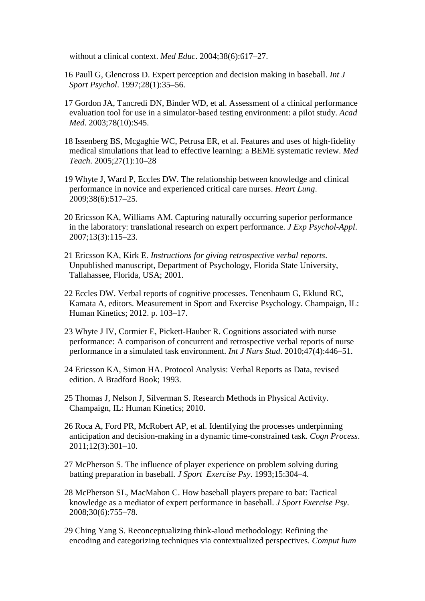without a clinical context. *Med Educ*. 2004;38(6):617–27.

- 16 Paull G, Glencross D. Expert perception and decision making in baseball. *Int J Sport Psychol*. 1997;28(1):35–56.
- 17 Gordon JA, Tancredi DN, Binder WD, et al. Assessment of a clinical performance evaluation tool for use in a simulator-based testing environment: a pilot study. *Acad Med*. 2003;78(10):S45.
- 18 Issenberg BS, Mcgaghie WC, Petrusa ER, et al. Features and uses of high-fidelity medical simulations that lead to effective learning: a BEME systematic review. *Med Teach*. 2005;27(1):10–28
- 19 Whyte J, Ward P, Eccles DW. The relationship between knowledge and clinical performance in novice and experienced critical care nurses. *Heart Lung*. 2009;38(6):517–25.
- 20 Ericsson KA, Williams AM. Capturing naturally occurring superior performance in the laboratory: translational research on expert performance. *J Exp Psychol-Appl*. 2007;13(3):115–23.
- 21 Ericsson KA, Kirk E. *Instructions for giving retrospective verbal reports*. Unpublished manuscript, Department of Psychology, Florida State University, Tallahassee, Florida, USA; 2001.
- 22 Eccles DW. Verbal reports of cognitive processes. Tenenbaum G, Eklund RC, Kamata A, editors. Measurement in Sport and Exercise Psychology. Champaign, IL: Human Kinetics; 2012. p. 103–17.
- 23 Whyte J IV, Cormier E, Pickett-Hauber R. Cognitions associated with nurse performance: A comparison of concurrent and retrospective verbal reports of nurse performance in a simulated task environment. *Int J Nurs Stud*. 2010;47(4):446–51.
- 24 Ericsson KA, Simon HA. Protocol Analysis: Verbal Reports as Data, revised edition. A Bradford Book; 1993.
- 25 Thomas J, Nelson J, Silverman S. Research Methods in Physical Activity. Champaign, IL: Human Kinetics; 2010.
- 26 Roca A, Ford PR, McRobert AP, et al. Identifying the processes underpinning anticipation and decision-making in a dynamic time-constrained task. *Cogn Process*. 2011;12(3):301–10.
- 27 McPherson S. The influence of player experience on problem solving during batting preparation in baseball. *J Sport Exercise Psy*. 1993;15:304–4.
- 28 McPherson SL, MacMahon C. How baseball players prepare to bat: Tactical knowledge as a mediator of expert performance in baseball. *J Sport Exercise Psy*. 2008;30(6):755–78.
- 29 Ching Yang S. Reconceptualizing think-aloud methodology: Refining the encoding and categorizing techniques via contextualized perspectives. *Comput hum*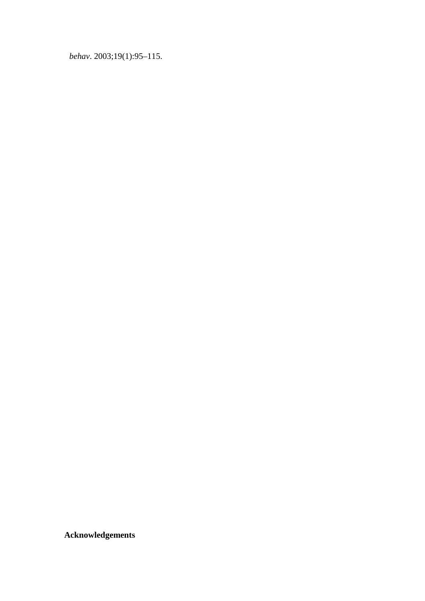*behav*. 2003;19(1):95–115.

**Acknowledgements**